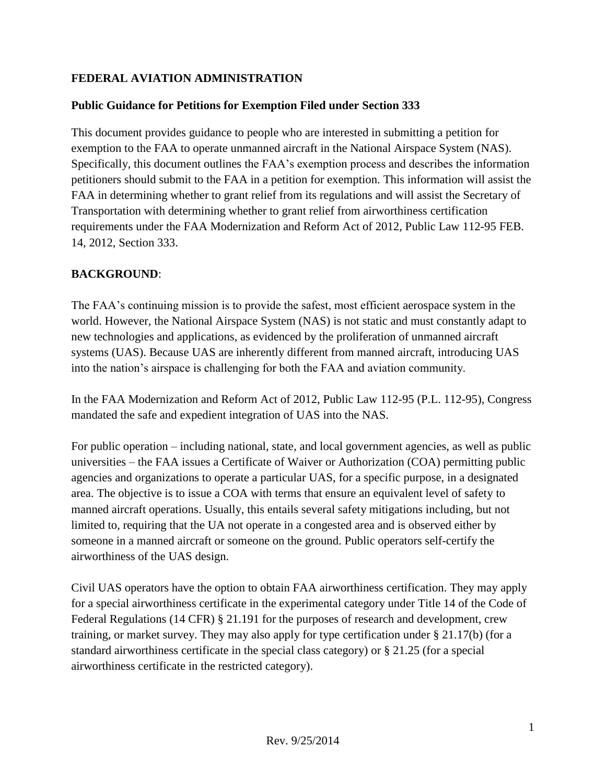# **FEDERAL AVIATION ADMINISTRATION**

## **Public Guidance for Petitions for Exemption Filed under Section 333**

This document provides guidance to people who are interested in submitting a petition for exemption to the FAA to operate unmanned aircraft in the National Airspace System (NAS). Specifically, this document outlines the FAA's exemption process and describes the information petitioners should submit to the FAA in a petition for exemption. This information will assist the FAA in determining whether to grant relief from its regulations and will assist the Secretary of Transportation with determining whether to grant relief from airworthiness certification requirements under the FAA Modernization and Reform Act of 2012, Public Law 112-95 FEB. 14, 2012, Section 333.

## **BACKGROUND**:

The FAA's continuing mission is to provide the safest, most efficient aerospace system in the world. However, the National Airspace System (NAS) is not static and must constantly adapt to new technologies and applications, as evidenced by the proliferation of unmanned aircraft systems (UAS). Because UAS are inherently different from manned aircraft, introducing UAS into the nation's airspace is challenging for both the FAA and aviation community.

In the FAA Modernization and Reform Act of 2012, Public Law 112-95 (P.L. 112-95), Congress mandated the safe and expedient integration of UAS into the NAS.

For public operation – including national, state, and local government agencies, as well as public universities – the FAA issues a Certificate of Waiver or Authorization (COA) permitting public agencies and organizations to operate a particular UAS, for a specific purpose, in a designated area. The objective is to issue a COA with terms that ensure an equivalent level of safety to manned aircraft operations. Usually, this entails several safety mitigations including, but not limited to, requiring that the UA not operate in a congested area and is observed either by someone in a manned aircraft or someone on the ground. Public operators self-certify the airworthiness of the UAS design.

Civil UAS operators have the option to obtain FAA airworthiness certification. They may apply for a special airworthiness certificate in the experimental category under Title 14 of the Code of Federal Regulations (14 CFR) § 21.191 for the purposes of research and development, crew training, or market survey. They may also apply for type certification under § 21.17(b) (for a standard airworthiness certificate in the special class category) or § 21.25 (for a special airworthiness certificate in the restricted category).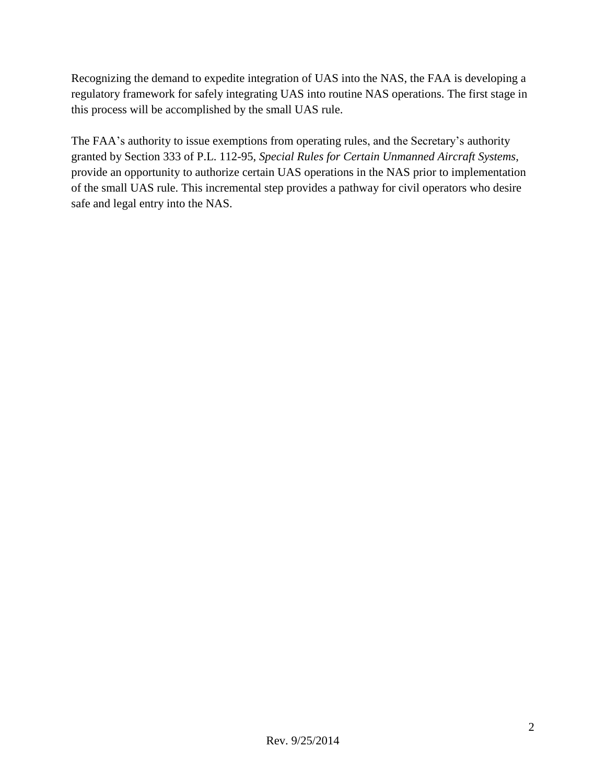Recognizing the demand to expedite integration of UAS into the NAS, the FAA is developing a regulatory framework for safely integrating UAS into routine NAS operations. The first stage in this process will be accomplished by the small UAS rule.

The FAA's authority to issue exemptions from operating rules, and the Secretary's authority granted by Section 333 of P.L. 112-95, *Special Rules for Certain Unmanned Aircraft Systems*, provide an opportunity to authorize certain UAS operations in the NAS prior to implementation of the small UAS rule. This incremental step provides a pathway for civil operators who desire safe and legal entry into the NAS.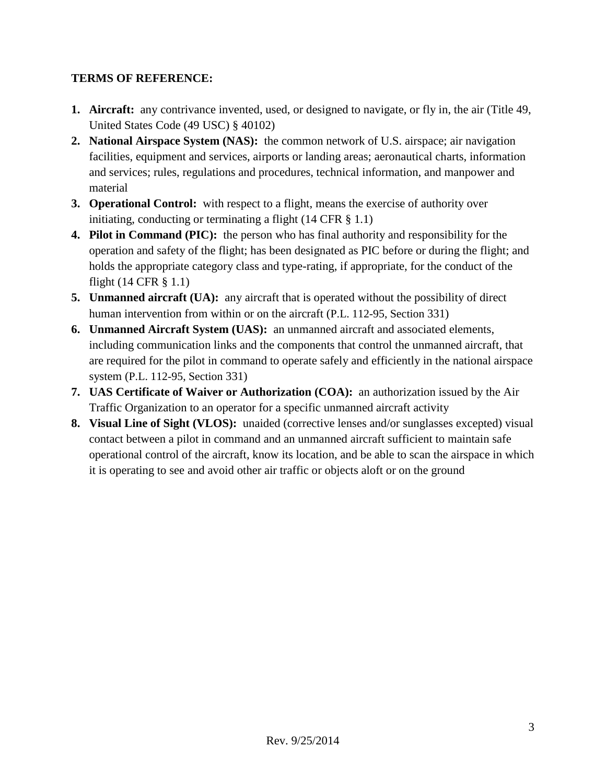## **TERMS OF REFERENCE:**

- **1. Aircraft:** any contrivance invented, used, or designed to navigate, or fly in, the air (Title 49, United States Code (49 USC) § 40102)
- **2. National Airspace System (NAS):** the common network of U.S. airspace; air navigation facilities, equipment and services, airports or landing areas; aeronautical charts, information and services; rules, regulations and procedures, technical information, and manpower and material
- **3. Operational Control:** with respect to a flight, means the exercise of authority over initiating, conducting or terminating a flight  $(14 \text{ CFR } \S \; 1.1)$
- **4. Pilot in Command (PIC):** the person who has final authority and responsibility for the operation and safety of the flight; has been designated as PIC before or during the flight; and holds the appropriate category class and type-rating, if appropriate, for the conduct of the flight (14 CFR § 1.1)
- **5. Unmanned aircraft (UA):** any aircraft that is operated without the possibility of direct human intervention from within or on the aircraft (P.L. 112-95, Section 331)
- **6. Unmanned Aircraft System (UAS):** an unmanned aircraft and associated elements, including communication links and the components that control the unmanned aircraft, that are required for the pilot in command to operate safely and efficiently in the national airspace system (P.L. 112-95, Section 331)
- **7. UAS Certificate of Waiver or Authorization (COA):** an authorization issued by the Air Traffic Organization to an operator for a specific unmanned aircraft activity
- **8. Visual Line of Sight (VLOS):** unaided (corrective lenses and/or sunglasses excepted) visual contact between a pilot in command and an unmanned aircraft sufficient to maintain safe operational control of the aircraft, know its location, and be able to scan the airspace in which it is operating to see and avoid other air traffic or objects aloft or on the ground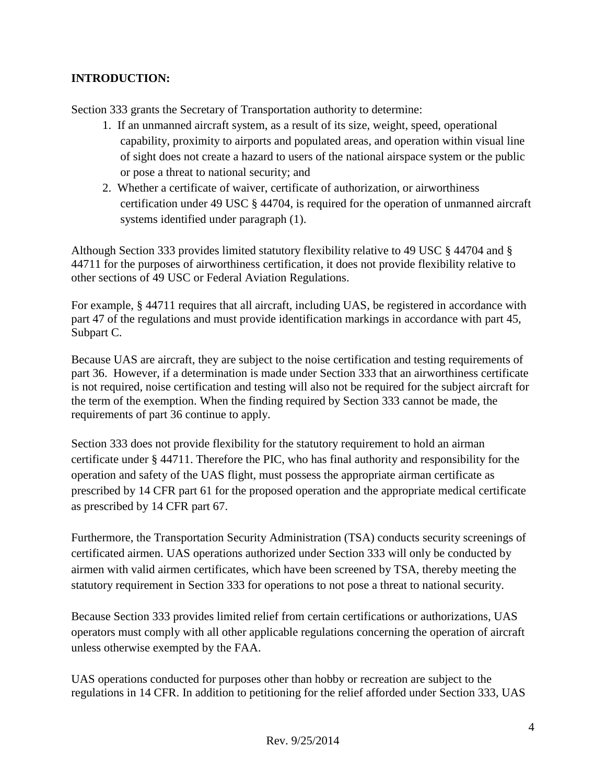# **INTRODUCTION:**

Section 333 grants the Secretary of Transportation authority to determine:

- 1. If an unmanned aircraft system, as a result of its size, weight, speed, operational capability, proximity to airports and populated areas, and operation within visual line of sight does not create a hazard to users of the national airspace system or the public or pose a threat to national security; and
- 2. Whether a certificate of waiver, certificate of authorization, or airworthiness certification under 49 USC § 44704, is required for the operation of unmanned aircraft systems identified under paragraph (1).

Although Section 333 provides limited statutory flexibility relative to 49 USC § 44704 and § 44711 for the purposes of airworthiness certification, it does not provide flexibility relative to other sections of 49 USC or Federal Aviation Regulations.

For example, § 44711 requires that all aircraft, including UAS, be registered in accordance with part 47 of the regulations and must provide identification markings in accordance with part 45, Subpart C.

Because UAS are aircraft, they are subject to the noise certification and testing requirements of part 36. However, if a determination is made under Section 333 that an airworthiness certificate is not required, noise certification and testing will also not be required for the subject aircraft for the term of the exemption. When the finding required by Section 333 cannot be made, the requirements of part 36 continue to apply.

Section 333 does not provide flexibility for the statutory requirement to hold an airman certificate under § 44711. Therefore the PIC, who has final authority and responsibility for the operation and safety of the UAS flight, must possess the appropriate airman certificate as prescribed by 14 CFR part 61 for the proposed operation and the appropriate medical certificate as prescribed by 14 CFR part 67.

Furthermore, the Transportation Security Administration (TSA) conducts security screenings of certificated airmen. UAS operations authorized under Section 333 will only be conducted by airmen with valid airmen certificates, which have been screened by TSA, thereby meeting the statutory requirement in Section 333 for operations to not pose a threat to national security.

Because Section 333 provides limited relief from certain certifications or authorizations, UAS operators must comply with all other applicable regulations concerning the operation of aircraft unless otherwise exempted by the FAA.

UAS operations conducted for purposes other than hobby or recreation are subject to the regulations in 14 CFR. In addition to petitioning for the relief afforded under Section 333, UAS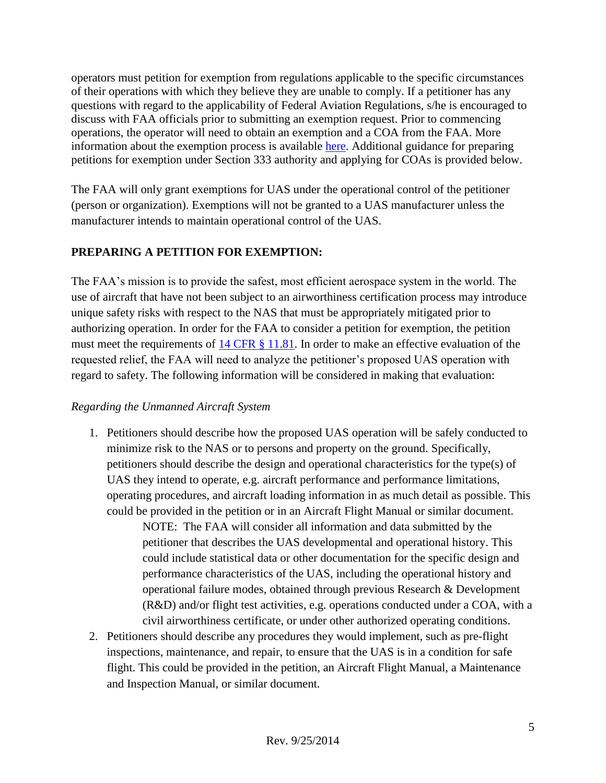operators must petition for exemption from regulations applicable to the specific circumstances of their operations with which they believe they are unable to comply. If a petitioner has any questions with regard to the applicability of Federal Aviation Regulations, s/he is encouraged to discuss with FAA officials prior to submitting an exemption request. Prior to commencing operations, the operator will need to obtain an exemption and a COA from the FAA. More information about the exemption process is available [here.](http://aes.faa.gov/Petition/) Additional guidance for preparing petitions for exemption under Section 333 authority and applying for COAs is provided below.

The FAA will only grant exemptions for UAS under the operational control of the petitioner (person or organization). Exemptions will not be granted to a UAS manufacturer unless the manufacturer intends to maintain operational control of the UAS.

# **PREPARING A PETITION FOR EXEMPTION:**

The FAA's mission is to provide the safest, most efficient aerospace system in the world. The use of aircraft that have not been subject to an airworthiness certification process may introduce unique safety risks with respect to the NAS that must be appropriately mitigated prior to authorizing operation. In order for the FAA to consider a petition for exemption, the petition must meet the requirements of [14 CFR § 11.81.](http://www.ecfr.gov/cgi-bin/text-idx?SID=aa176948052c55a989755e20007929a4&node=pt14.1.11&rgn=div5#se14.1.11_181) In order to make an effective evaluation of the requested relief, the FAA will need to analyze the petitioner's proposed UAS operation with regard to safety. The following information will be considered in making that evaluation:

#### *Regarding the Unmanned Aircraft System*

1. Petitioners should describe how the proposed UAS operation will be safely conducted to minimize risk to the NAS or to persons and property on the ground. Specifically, petitioners should describe the design and operational characteristics for the type(s) of UAS they intend to operate, e.g. aircraft performance and performance limitations, operating procedures, and aircraft loading information in as much detail as possible. This could be provided in the petition or in an Aircraft Flight Manual or similar document.

> NOTE: The FAA will consider all information and data submitted by the petitioner that describes the UAS developmental and operational history. This could include statistical data or other documentation for the specific design and performance characteristics of the UAS, including the operational history and operational failure modes, obtained through previous Research & Development (R&D) and/or flight test activities, e.g. operations conducted under a COA, with a civil airworthiness certificate, or under other authorized operating conditions.

2. Petitioners should describe any procedures they would implement, such as pre-flight inspections, maintenance, and repair, to ensure that the UAS is in a condition for safe flight. This could be provided in the petition, an Aircraft Flight Manual, a Maintenance and Inspection Manual, or similar document.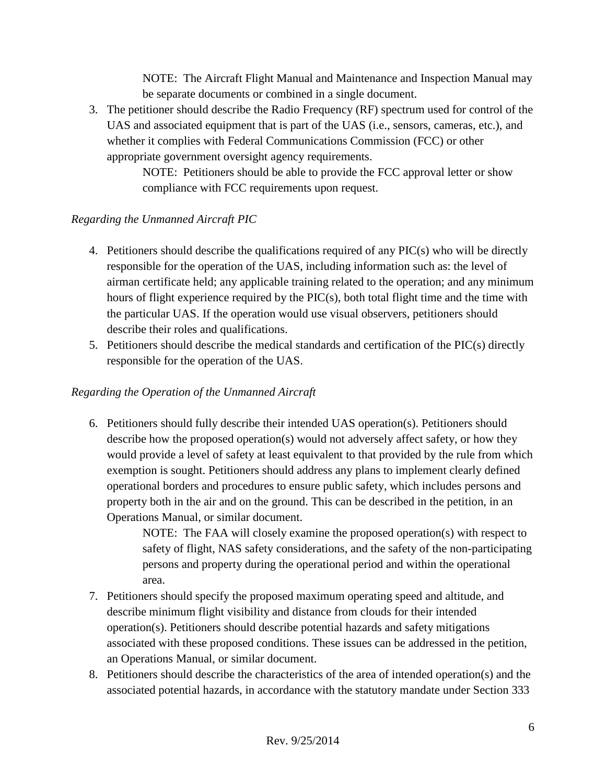NOTE: The Aircraft Flight Manual and Maintenance and Inspection Manual may be separate documents or combined in a single document.

3. The petitioner should describe the Radio Frequency (RF) spectrum used for control of the UAS and associated equipment that is part of the UAS (i.e., sensors, cameras, etc.), and whether it complies with Federal Communications Commission (FCC) or other appropriate government oversight agency requirements.

> NOTE: Petitioners should be able to provide the FCC approval letter or show compliance with FCC requirements upon request.

#### *Regarding the Unmanned Aircraft PIC*

- 4. Petitioners should describe the qualifications required of any PIC(s) who will be directly responsible for the operation of the UAS, including information such as: the level of airman certificate held; any applicable training related to the operation; and any minimum hours of flight experience required by the PIC(s), both total flight time and the time with the particular UAS. If the operation would use visual observers, petitioners should describe their roles and qualifications.
- 5. Petitioners should describe the medical standards and certification of the PIC(s) directly responsible for the operation of the UAS.

### *Regarding the Operation of the Unmanned Aircraft*

6. Petitioners should fully describe their intended UAS operation(s). Petitioners should describe how the proposed operation(s) would not adversely affect safety, or how they would provide a level of safety at least equivalent to that provided by the rule from which exemption is sought. Petitioners should address any plans to implement clearly defined operational borders and procedures to ensure public safety, which includes persons and property both in the air and on the ground. This can be described in the petition, in an Operations Manual, or similar document.

> NOTE: The FAA will closely examine the proposed operation(s) with respect to safety of flight, NAS safety considerations, and the safety of the non-participating persons and property during the operational period and within the operational area.

- 7. Petitioners should specify the proposed maximum operating speed and altitude, and describe minimum flight visibility and distance from clouds for their intended operation(s). Petitioners should describe potential hazards and safety mitigations associated with these proposed conditions. These issues can be addressed in the petition, an Operations Manual, or similar document.
- 8. Petitioners should describe the characteristics of the area of intended operation(s) and the associated potential hazards, in accordance with the statutory mandate under Section 333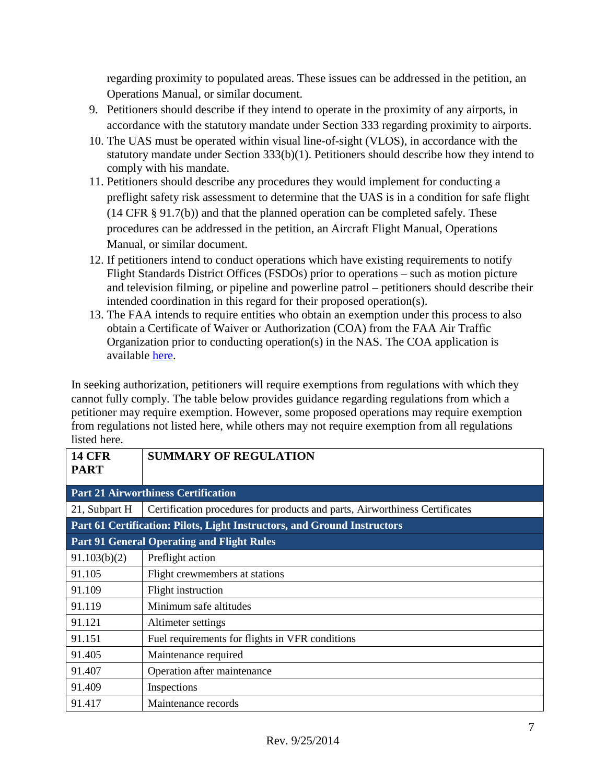regarding proximity to populated areas. These issues can be addressed in the petition, an Operations Manual, or similar document.

- 9. Petitioners should describe if they intend to operate in the proximity of any airports, in accordance with the statutory mandate under Section 333 regarding proximity to airports.
- 10. The UAS must be operated within visual line-of-sight (VLOS), in accordance with the statutory mandate under Section 333(b)(1). Petitioners should describe how they intend to comply with his mandate.
- 11. Petitioners should describe any procedures they would implement for conducting a preflight safety risk assessment to determine that the UAS is in a condition for safe flight (14 CFR § 91.7(b)) and that the planned operation can be completed safely. These procedures can be addressed in the petition, an Aircraft Flight Manual, Operations Manual, or similar document.
- 12. If petitioners intend to conduct operations which have existing requirements to notify Flight Standards District Offices (FSDOs) prior to operations – such as motion picture and television filming, or pipeline and powerline patrol – petitioners should describe their intended coordination in this regard for their proposed operation(s).
- 13. The FAA intends to require entities who obtain an exemption under this process to also obtain a Certificate of Waiver or Authorization (COA) from the FAA Air Traffic Organization prior to conducting operation(s) in the NAS. The COA application is available [here.](http://www.faa.gov/uas/legislative_programs/section_333/how_to_file_a_petition/media/FAA_UAS_Civil_COA_Request.pdf)

In seeking authorization, petitioners will require exemptions from regulations with which they cannot fully comply. The table below provides guidance regarding regulations from which a petitioner may require exemption. However, some proposed operations may require exemption from regulations not listed here, while others may not require exemption from all regulations listed here.

| <b>14 CFR</b><br><b>PART</b>                                             | <b>SUMMARY OF REGULATION</b>                                                |
|--------------------------------------------------------------------------|-----------------------------------------------------------------------------|
| <b>Part 21 Airworthiness Certification</b>                               |                                                                             |
| 21, Subpart H                                                            | Certification procedures for products and parts, Airworthiness Certificates |
| Part 61 Certification: Pilots, Light Instructors, and Ground Instructors |                                                                             |
| <b>Part 91 General Operating and Flight Rules</b>                        |                                                                             |
| 91.103(b)(2)                                                             | Preflight action                                                            |
| 91.105                                                                   | Flight crewmembers at stations                                              |
| 91.109                                                                   | Flight instruction                                                          |
| 91.119                                                                   | Minimum safe altitudes                                                      |
| 91.121                                                                   | Altimeter settings                                                          |
| 91.151                                                                   | Fuel requirements for flights in VFR conditions                             |
| 91.405                                                                   | Maintenance required                                                        |
| 91.407                                                                   | Operation after maintenance                                                 |
| 91.409                                                                   | Inspections                                                                 |
| 91.417                                                                   | Maintenance records                                                         |